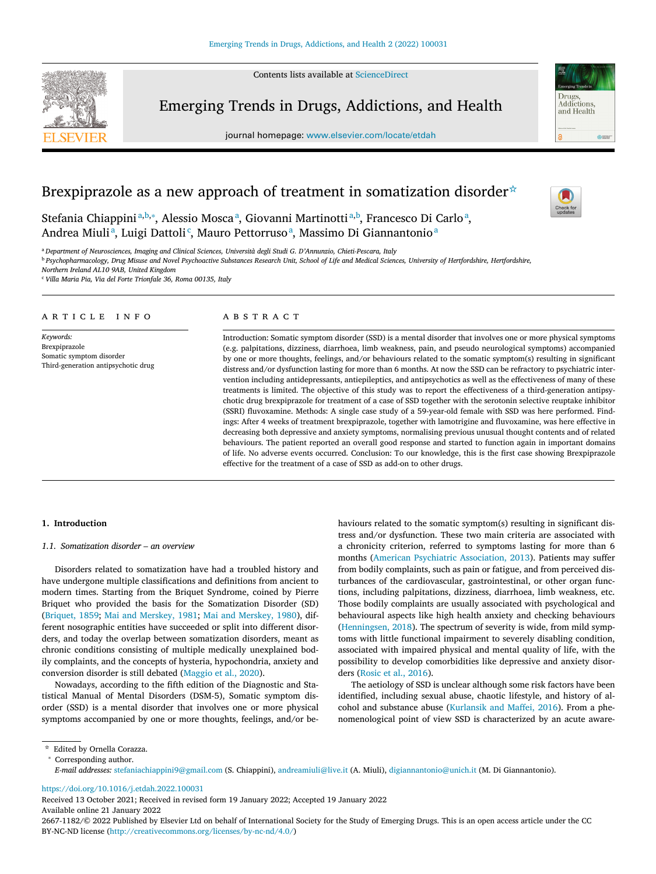Contents lists available at [ScienceDirect](http://www.ScienceDirect.com)



Emerging Trends in Drugs, Addictions, and Health

journal homepage: [www.elsevier.com/locate/etdah](http://www.elsevier.com/locate/etdah)



# Brexpiprazole as a new approach of treatment in somatization disorder☆

Stefania Chiappiniª<sup>,b,∗</sup>, Alessio Moscaª, Giovanni Martinotti<sup>a,b</sup>, Francesco Di Carloª, Andrea Miuli<sup>a</sup>, Luigi Dattoli<sup>c</sup>, Mauro Pettorruso<sup>a</sup>, Massimo Di Giannantonio<sup>a</sup>

<sup>a</sup> *Department of Neurosciences, Imaging and Clinical Sciences, Università degli Studi G. D'Annunzio, Chieti-Pescara, Italy*

<sup>b</sup> Psychopharmacology, Drug Misuse and Novel Psychoactive Substances Research Unit, School of Life and Medical Sciences, University of Hertfordshire, Hertfordshire,

*Northern Ireland AL10 9AB, United Kingdom*

<sup>c</sup> *Villa Maria Pia, Via del Forte Trionfale 36, Roma 00135, Italy*

#### A R T I C L E I N F O

*Keywords:* Brexpiprazole Somatic symptom disorder Third-generation antipsychotic drug

## a b s t r a c t

Introduction: Somatic symptom disorder (SSD) is a mental disorder that involves one or more physical symptoms (e.g. palpitations, dizziness, diarrhoea, limb weakness, pain, and pseudo neurological symptoms) accompanied by one or more thoughts, feelings, and/or behaviours related to the somatic symptom(s) resulting in significant distress and/or dysfunction lasting for more than 6 months. At now the SSD can be refractory to psychiatric intervention including antidepressants, antiepileptics, and antipsychotics as well as the effectiveness of many of these treatments is limited. The objective of this study was to report the effectiveness of a third-generation antipsychotic drug brexpiprazole for treatment of a case of SSD together with the serotonin selective reuptake inhibitor (SSRI) fluvoxamine. Methods: A single case study of a 59-year-old female with SSD was here performed. Findings: After 4 weeks of treatment brexpiprazole, together with lamotrigine and fluvoxamine, was here effective in decreasing both depressive and anxiety symptoms, normalising previous unusual thought contents and of related behaviours. The patient reported an overall good response and started to function again in important domains of life. No adverse events occurred. Conclusion: To our knowledge, this is the first case showing Brexpiprazole effective for the treatment of a case of SSD as add-on to other drugs.

## **1. Introduction**

#### *1.1. Somatization disorder – an overview*

Disorders related to somatization have had a troubled history and have undergone multiple classifications and definitions from ancient to modern times. Starting from the Briquet Syndrome, coined by Pierre Briquet who provided the basis for the Somatization Disorder (SD) [\(Briquet,](#page-3-0) 1859; Mai and [Merskey,](#page-3-0) 1981; Mai and [Merskey,](#page-3-0) 1980), different nosographic entities have succeeded or split into different disorders, and today the overlap between somatization disorders, meant as chronic conditions consisting of multiple medically unexplained bodily complaints, and the concepts of hysteria, hypochondria, anxiety and conversion disorder is still debated [\(Maggio](#page-3-0) et al., 2020).

Nowadays, according to the fifth edition of the Diagnostic and Statistical Manual of Mental Disorders (DSM-5), Somatic symptom disorder (SSD) is a mental disorder that involves one or more physical symptoms accompanied by one or more thoughts, feelings, and/or behaviours related to the somatic symptom(s) resulting in significant distress and/or dysfunction. These two main criteria are associated with a chronicity criterion, referred to symptoms lasting for more than 6 months (American Psychiatric [Association,](#page-3-0) 2013). Patients may suffer from bodily complaints, such as pain or fatigue, and from perceived disturbances of the cardiovascular, gastrointestinal, or other organ functions, including palpitations, dizziness, diarrhoea, limb weakness, etc. Those bodily complaints are usually associated with psychological and behavioural aspects like high health anxiety and checking behaviours [\(Henningsen,](#page-3-0) 2018). The spectrum of severity is wide, from mild symptoms with little functional impairment to severely disabling condition, associated with impaired physical and mental quality of life, with the possibility to develop comorbidities like depressive and anxiety disorders [\(Rosic](#page-3-0) et al., 2016).

The aetiology of SSD is unclear although some risk factors have been identified, including sexual abuse, chaotic lifestyle, and history of alcohol and substance abuse [\(Kurlansik](#page-3-0) and Maffei, 2016). From a phenomenological point of view SSD is characterized by an acute aware-

<https://doi.org/10.1016/j.etdah.2022.100031>

Received 13 October 2021; Received in revised form 19 January 2022; Accepted 19 January 2022 Available online 21 January 2022

2667-1182/© 2022 Published by Elsevier Ltd on behalf of International Society for the Study of Emerging Drugs. This is an open access article under the CC BY-NC-ND license [\(http://creativecommons.org/licenses/by-nc-nd/4.0/\)](http://creativecommons.org/licenses/by-nc-nd/4.0/)

<sup>☆</sup> Edited by Ornella Corazza.

<sup>∗</sup> Corresponding author.

*E-mail addresses:* [stefaniachiappini9@gmail.com](mailto:stefaniachiappini9@gmail.com) (S. Chiappini), [andreamiuli@live.it](mailto:andreamiuli@live.it) (A. Miuli), [digiannantonio@unich.it](mailto:digiannantonio@unich.it) (M. Di Giannantonio).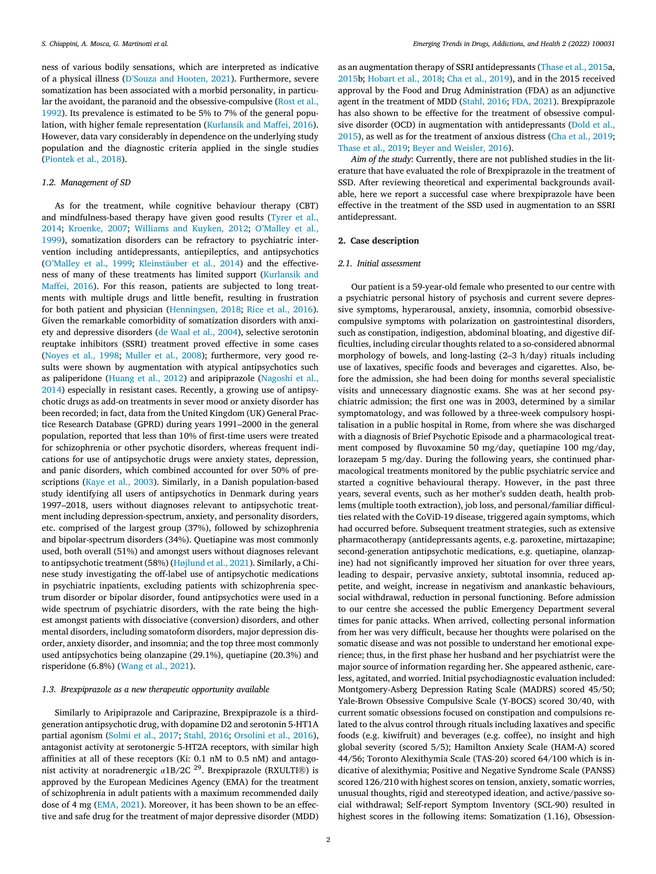ness of various bodily sensations, which are interpreted as indicative of a physical illness [\(D'Souza](#page-3-0) and Hooten, 2021). Furthermore, severe somatization has been associated with a morbid personality, in particular the avoidant, the paranoid and the [obsessive-compulsive](#page-3-0) (Rost et al., 1992). Its prevalence is estimated to be 5% to 7% of the general population, with higher female representation [\(Kurlansik](#page-3-0) and Maffei, 2016). However, data vary considerably in dependence on the underlying study population and the diagnostic criteria applied in the single studies [\(Piontek](#page-3-0) et al., 2018).

#### *1.2. Management of SD*

As for the treatment, while cognitive behaviour therapy (CBT) and [mindfulness-based](#page-3-0) therapy have given good results (Tyrer et al., 2014; [Kroenke,](#page-3-0) 2007; [Williams](#page-3-0) and Kuyken, 2012; O'Malley et al., 1999), [somatization](#page-3-0) disorders can be refractory to psychiatric intervention including antidepressants, antiepileptics, and antipsychotics [\(O'Malley](#page-3-0) et al., 1999; [Kleinstäuber](#page-3-0) et al., 2014) and the effectiveness of many of these [treatments](#page-3-0) has limited support (Kurlansik and Maffei, 2016). For this reason, patients are subjected to long treatments with multiple drugs and little benefit, resulting in frustration for both patient and physician [\(Henningsen,](#page-3-0) 2018; Rice et al., [2016\)](#page-3-0). Given the remarkable comorbidity of somatization disorders with anxiety and depressive disorders (de Waal et al., [2004\)](#page-3-0), selective serotonin reuptake inhibitors (SSRI) treatment proved effective in some cases [\(Noyes](#page-3-0) et al., 1998; [Muller](#page-3-0) et al., 2008); furthermore, very good results were shown by augmentation with atypical antipsychotics such as [paliperidone](#page-3-0) [\(Huang](#page-3-0) et al., 2012) and aripiprazole (Nagoshi et al., 2014) especially in resistant cases. Recently, a growing use of antipsychotic drugs as add-on treatments in sever mood or anxiety disorder has been recorded; in fact, data from the United Kingdom (UK) General Practice Research Database (GPRD) during years 1991–2000 in the general population, reported that less than 10% of first-time users were treated for schizophrenia or other psychotic disorders, whereas frequent indications for use of antipsychotic drugs were anxiety states, depression, and panic disorders, which combined accounted for over 50% of prescriptions (Kaye et al., [2003\)](#page-3-0). Similarly, in a Danish population-based study identifying all users of antipsychotics in Denmark during years 1997–2018, users without diagnoses relevant to antipsychotic treatment including depression-spectrum, anxiety, and personality disorders, etc. comprised of the largest group (37%), followed by schizophrenia and bipolar-spectrum disorders (34%). Quetiapine was most commonly used, both overall (51%) and amongst users without diagnoses relevant to antipsychotic treatment (58%) [\(Højlund](#page-3-0) et al., 2021). Similarly, a Chinese study investigating the off-label use of antipsychotic medications in psychiatric inpatients, excluding patients with schizophrenia spectrum disorder or bipolar disorder, found antipsychotics were used in a wide spectrum of psychiatric disorders, with the rate being the highest amongst patients with dissociative (conversion) disorders, and other mental disorders, including somatoform disorders, major depression disorder, anxiety disorder, and insomnia; and the top three most commonly used antipsychotics being olanzapine (29.1%), quetiapine (20.3%) and risperidone (6.8%) [\(Wang](#page-3-0) et al., 2021).

## *1.3. Brexpiprazole as a new therapeutic opportunity available*

Similarly to Aripiprazole and Cariprazine, Brexpiprazole is a thirdgeneration antipsychotic drug, with dopamine D2 and serotonin 5-HT1A partial agonism [\(Solmi](#page-3-0) et al., 2017; [Stahl,](#page-3-0) 2016; [Orsolini](#page-3-0) et al., 2016), antagonist activity at serotonergic 5-HT2A receptors, with similar high affinities at all of these receptors (Ki: 0.1 nM to 0.5 nM) and antagonist activity at noradrenergic  $\alpha$ 1B/2C <sup>29</sup>. Brexpiprazole (RXULTI®) is approved by the European Medicines Agency (EMA) for the treatment of schizophrenia in adult patients with a maximum recommended daily dose of 4 mg [\(EMA,](#page-3-0) 2021). Moreover, it has been shown to be an effective and safe drug for the treatment of major depressive disorder (MDD) as an augmentation therapy of SSRI antidepressants [\(Thase](#page-3-0) et al., 2015a, [2015b](#page-3-0); [Hobart](#page-3-0) et al., 2018; Cha et al., [2019\)](#page-3-0), and in the 2015 received approval by the Food and Drug Administration (FDA) as an adjunctive agent in the treatment of MDD [\(Stahl,](#page-3-0) 2016; FDA, [2021\)](#page-3-0). Brexpiprazole has also shown to be effective for the treatment of obsessive compulsive disorder (OCD) in augmentation with [antidepressants](#page-3-0) (Dold et al., 2015), as well as for the treatment of anxious distress (Cha et al., [2019;](#page-3-0) [Thase](#page-3-0) et al., 2019; Beyer and [Weisler,](#page-3-0) 2016).

*Aim of the study*: Currently, there are not published studies in the literature that have evaluated the role of Brexpiprazole in the treatment of SSD. After reviewing theoretical and experimental backgrounds available, here we report a successful case where brexpiprazole have been effective in the treatment of the SSD used in augmentation to an SSRI antidepressant.

## **2. Case description**

## *2.1. Initial assessment*

Our patient is a 59-year-old female who presented to our centre with a psychiatric personal history of psychosis and current severe depressive symptoms, hyperarousal, anxiety, insomnia, comorbid obsessivecompulsive symptoms with polarization on gastrointestinal disorders, such as constipation, indigestion, abdominal bloating, and digestive difficulties, including circular thoughts related to a so-considered abnormal morphology of bowels, and long-lasting (2–3 h/day) rituals including use of laxatives, specific foods and beverages and cigarettes. Also, before the admission, she had been doing for months several specialistic visits and unnecessary diagnostic exams. She was at her second psychiatric admission; the first one was in 2003, determined by a similar symptomatology, and was followed by a three-week compulsory hospitalisation in a public hospital in Rome, from where she was discharged with a diagnosis of Brief Psychotic Episode and a pharmacological treatment composed by fluvoxamine 50 mg/day, quetiapine 100 mg/day, lorazepam 5 mg/day. During the following years, she continued pharmacological treatments monitored by the public psychiatric service and started a cognitive behavioural therapy. However, in the past three years, several events, such as her mother's sudden death, health problems (multiple tooth extraction), job loss, and personal/familiar difficulties related with the CoViD-19 disease, triggered again symptoms, which had occurred before. Subsequent treatment strategies, such as extensive pharmacotherapy (antidepressants agents, e.g. paroxetine, mirtazapine; second-generation antipsychotic medications, e.g. quetiapine, olanzapine) had not significantly improved her situation for over three years, leading to despair, pervasive anxiety, subtotal insomnia, reduced appetite, and weight, increase in negativism and anankastic behaviours, social withdrawal, reduction in personal functioning. Before admission to our centre she accessed the public Emergency Department several times for panic attacks. When arrived, collecting personal information from her was very difficult, because her thoughts were polarised on the somatic disease and was not possible to understand her emotional experience; thus, in the first phase her husband and her psychiatrist were the major source of information regarding her. She appeared asthenic, careless, agitated, and worried. Initial psychodiagnostic evaluation included: Montgomery-Asberg Depression Rating Scale (MADRS) scored 45/50; Yale-Brown Obsessive Compulsive Scale (Y-BOCS) scored 30/40, with current somatic obsessions focused on constipation and compulsions related to the alvus control through rituals including laxatives and specific foods (e.g. kiwifruit) and beverages (e.g. coffee), no insight and high global severity (scored 5/5); Hamilton Anxiety Scale (HAM-A) scored 44/56; Toronto Alexithymia Scale (TAS-20) scored 64/100 which is indicative of alexithymia; Positive and Negative Syndrome Scale (PANSS) scored 126/210 with highest scores on tension, anxiety, somatic worries, unusual thoughts, rigid and stereotyped ideation, and active/passive social withdrawal; Self-report Symptom Inventory (SCL-90) resulted in highest scores in the following items: Somatization (1.16), Obsession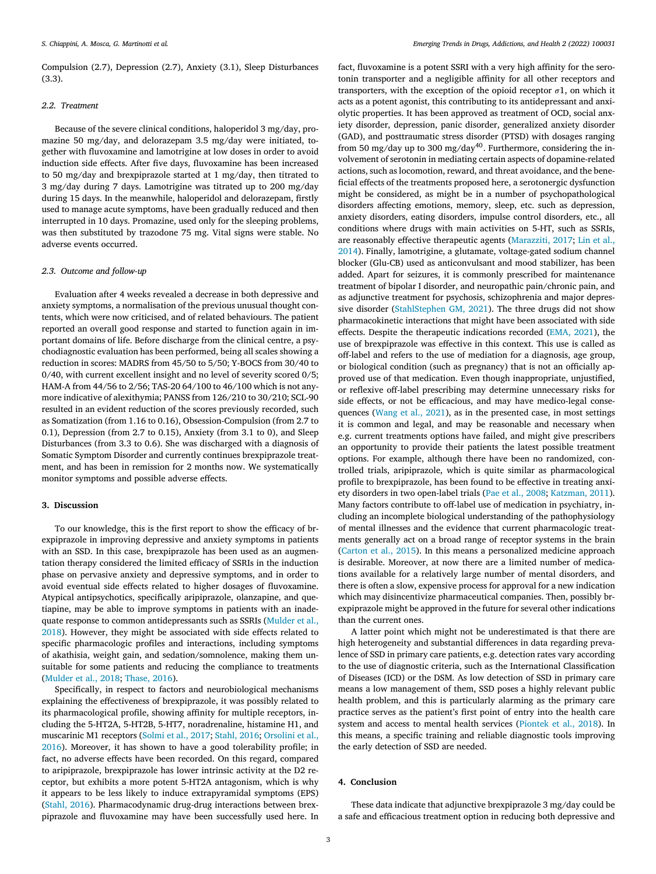Compulsion (2.7), Depression (2.7), Anxiety (3.1), Sleep Disturbances (3.3).

## *2.2. Treatment*

Because of the severe clinical conditions, haloperidol 3 mg/day, promazine 50 mg/day, and delorazepam 3.5 mg/day were initiated, together with fluvoxamine and lamotrigine at low doses in order to avoid induction side effects. After five days, fluvoxamine has been increased to 50 mg/day and brexpiprazole started at 1 mg/day, then titrated to 3 mg/day during 7 days. Lamotrigine was titrated up to 200 mg/day during 15 days. In the meanwhile, haloperidol and delorazepam, firstly used to manage acute symptoms, have been gradually reduced and then interrupted in 10 days. Promazine, used only for the sleeping problems, was then substituted by trazodone 75 mg. Vital signs were stable. No adverse events occurred.

## *2.3. Outcome and follow-up*

Evaluation after 4 weeks revealed a decrease in both depressive and anxiety symptoms, a normalisation of the previous unusual thought contents, which were now criticised, and of related behaviours. The patient reported an overall good response and started to function again in important domains of life. Before discharge from the clinical centre, a psychodiagnostic evaluation has been performed, being all scales showing a reduction in scores: MADRS from 45/50 to 5/50; Y-BOCS from 30/40 to 0/40, with current excellent insight and no level of severity scored 0/5; HAM-A from 44/56 to 2/56; TAS-20 64/100 to 46/100 which is not anymore indicative of alexithymia; PANSS from 126/210 to 30/210; SCL-90 resulted in an evident reduction of the scores previously recorded, such as Somatization (from 1.16 to 0.16), Obsession-Compulsion (from 2.7 to 0.1), Depression (from 2.7 to 0.15), Anxiety (from 3.1 to 0), and Sleep Disturbances (from 3.3 to 0.6). She was discharged with a diagnosis of Somatic Symptom Disorder and currently continues brexpiprazole treatment, and has been in remission for 2 months now. We systematically monitor symptoms and possible adverse effects.

## **3. Discussion**

To our knowledge, this is the first report to show the efficacy of brexpiprazole in improving depressive and anxiety symptoms in patients with an SSD. In this case, brexpiprazole has been used as an augmentation therapy considered the limited efficacy of SSRIs in the induction phase on pervasive anxiety and depressive symptoms, and in order to avoid eventual side effects related to higher dosages of fluvoxamine. Atypical antipsychotics, specifically aripiprazole, olanzapine, and quetiapine, may be able to improve symptoms in patients with an inadequate response to common [antidepressants](#page-3-0) such as SSRIs (Mulder et al., 2018). However, they might be associated with side effects related to specific pharmacologic profiles and interactions, including symptoms of akathisia, weight gain, and sedation/somnolence, making them unsuitable for some patients and reducing the compliance to treatments [\(Mulder](#page-3-0) et al., 2018; [Thase,](#page-3-0) 2016).

Specifically, in respect to factors and neurobiological mechanisms explaining the effectiveness of brexpiprazole, it was possibly related to its pharmacological profile, showing affinity for multiple receptors, including the 5-HT2A, 5-HT2B, 5-HT7, noradrenaline, histamine H1, and muscarinic M1 receptors [\(Solmi](#page-3-0) et al., 2017; [Stahl,](#page-3-0) 2016; Orsolini et al., 2016). Moreover, it has shown to have a good [tolerability](#page-3-0) profile; in fact, no adverse effects have been recorded. On this regard, compared to aripiprazole, brexpiprazole has lower intrinsic activity at the D2 receptor, but exhibits a more potent 5-HT2A antagonism, which is why it appears to be less likely to induce extrapyramidal symptoms (EPS) [\(Stahl,](#page-3-0) 2016). Pharmacodynamic drug-drug interactions between brexpiprazole and fluvoxamine may have been successfully used here. In

fact, fluvoxamine is a potent SSRI with a very high affinity for the serotonin transporter and a negligible affinity for all other receptors and transporters, with the exception of the opioid receptor  $\sigma$ 1, on which it acts as a potent agonist, this contributing to its antidepressant and anxiolytic properties. It has been approved as treatment of OCD, social anxiety disorder, depression, panic disorder, generalized anxiety disorder (GAD), and posttraumatic stress disorder (PTSD) with dosages ranging from 50 mg/day up to 300 mg/day<sup>40</sup>. Furthermore, considering the involvement of serotonin in mediating certain aspects of dopamine-related actions, such as locomotion, reward, and threat avoidance, and the beneficial effects of the treatments proposed here, a serotonergic dysfunction might be considered, as might be in a number of psychopathological disorders affecting emotions, memory, sleep, etc. such as depression, anxiety disorders, eating disorders, impulse control disorders, etc., all conditions where drugs with main activities on 5-HT, such as SSRIs, are reasonably effective therapeutic agents [\(Marazziti,](#page-3-0) 2017; Lin et al., 2014). Finally, lamotrigine, a glutamate, [voltage-gated](#page-4-0) sodium channel blocker (Glu-CB) used as anticonvulsant and mood stabilizer, has been added. Apart for seizures, it is commonly prescribed for maintenance treatment of bipolar I disorder, and neuropathic pain/chronic pain, and as adjunctive treatment for psychosis, schizophrenia and major depressive disorder [\(StahlStephen](#page-3-0) GM, 2021). The three drugs did not show pharmacokinetic interactions that might have been associated with side effects. Despite the therapeutic indications recorded [\(EMA,](#page-3-0) 2021), the use of brexpiprazole was effective in this context. This use is called as off-label and refers to the use of mediation for a diagnosis, age group, or biological condition (such as pregnancy) that is not an officially approved use of that medication. Even though inappropriate, unjustified, or reflexive off-label prescribing may determine unnecessary risks for side effects, or not be efficacious, and may have medico-legal consequences [\(Wang](#page-3-0) et al., 2021), as in the presented case, in most settings it is common and legal, and may be reasonable and necessary when e.g. current treatments options have failed, and might give prescribers an opportunity to provide their patients the latest possible treatment options. For example, although there have been no randomized, controlled trials, aripiprazole, which is quite similar as pharmacological profile to brexpiprazole, has been found to be effective in treating anxiety disorders in two open-label trials (Pae et al., [2008;](#page-4-0) [Katzman,](#page-4-0) 2011). Many factors contribute to off-label use of medication in psychiatry, including an incomplete biological understanding of the pathophysiology of mental illnesses and the evidence that current pharmacologic treatments generally act on a broad range of receptor systems in the brain [\(Carton](#page-4-0) et al., 2015). In this means a personalized medicine approach is desirable. Moreover, at now there are a limited number of medications available for a relatively large number of mental disorders, and there is often a slow, expensive process for approval for a new indication which may disincentivize pharmaceutical companies. Then, possibly brexpiprazole might be approved in the future for several other indications than the current ones.

A latter point which might not be underestimated is that there are high heterogeneity and substantial differences in data regarding prevalence of SSD in primary care patients, e.g. detection rates vary according to the use of diagnostic criteria, such as the International Classification of Diseases (ICD) or the DSM. As low detection of SSD in primary care means a low management of them, SSD poses a highly relevant public health problem, and this is particularly alarming as the primary care practice serves as the patient's first point of entry into the health care system and access to mental health services [\(Piontek](#page-3-0) et al., 2018). In this means, a specific training and reliable diagnostic tools improving the early detection of SSD are needed.

## **4. Conclusion**

These data indicate that adjunctive brexpiprazole 3 mg/day could be a safe and efficacious treatment option in reducing both depressive and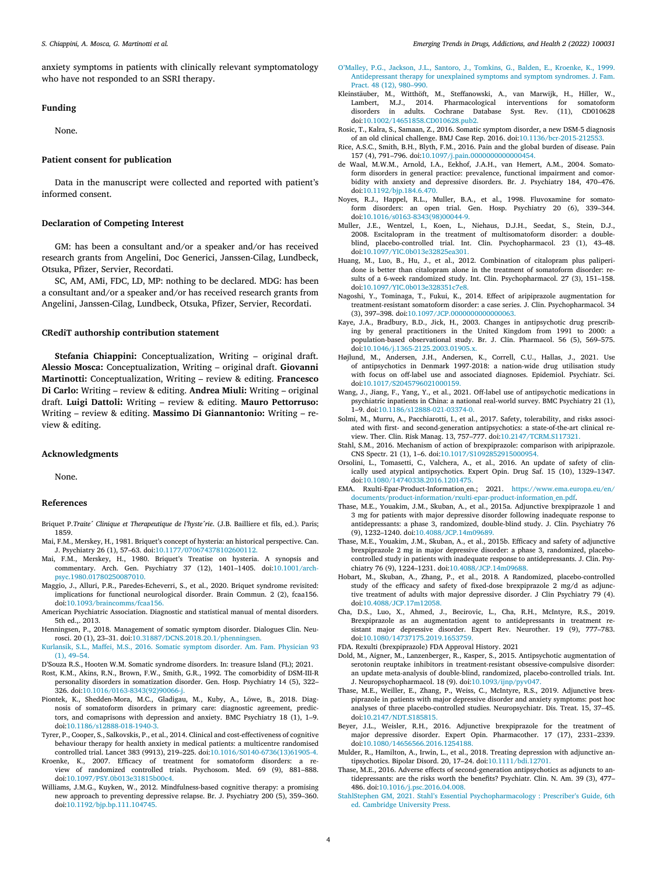<span id="page-3-0"></span>anxiety symptoms in patients with clinically relevant symptomatology who have not responded to an SSRI therapy.

## **Funding**

None.

## **Patient consent for publication**

Data in the manuscript were collected and reported with patient's informed consent.

## **Declaration of Competing Interest**

GM: has been a consultant and/or a speaker and/or has received research grants from Angelini, Doc Generici, Janssen-Cilag, Lundbeck, Otsuka, Pfizer, Servier, Recordati.

SC, AM, AMi, FDC, LD, MP: nothing to be declared. MDG: has been a consultant and/or a speaker and/or has received research grants from Angelini, Janssen-Cilag, Lundbeck, Otsuka, Pfizer, Servier, Recordati.

## **CRediT authorship contribution statement**

**Stefania Chiappini:** Conceptualization, Writing – original draft. **Alessio Mosca:** Conceptualization, Writing – original draft. **Giovanni Martinotti:** Conceptualization, Writing – review & editing. **Francesco Di Carlo:** Writing – review & editing. **Andrea Miuli:** Writing – original draft. **Luigi Dattoli:** Writing – review & editing. **Mauro Pettorruso:** Writing – review & editing. **Massimo Di Giannantonio:** Writing – review & editing.

#### **Acknowledgments**

None.

#### **References**

- Briquet P.*Traite ́Clinique et Therapeutique de l'hyste ́rie*. (J.B. Bailliere et fils, ed.). Paris; 1859.
- Mai, F.M., Merskey, H., 1981. Briquet's concept of hysteria: an historical perspective. Can. J. Psychiatry 26 (1), 57–63. doi[:10.1177/070674378102600112.](https://doi.org/10.1177/070674378102600112)
- Mai, F.M., Merskey, H., 1980. Briquet's Treatise on hysteria. A synopsis and commentary. Arch. Gen. Psychiatry 37 (12), 1401–1405. doi:10.1001/arch[psyc.1980.01780250087010.](https://doi.org/10.1001/archpsyc.1980.01780250087010)
- Maggio, J., Alluri, P.R., Paredes-Echeverri, S., et al., 2020. Briquet syndrome revisited: implications for functional neurological disorder. Brain Commun. 2 (2), fcaa156. doi[:10.1093/braincomms/fcaa156.](https://doi.org/10.1093/braincomms/fcaa156)
- American Psychiatric Association. Diagnostic and statistical manual of mental disorders. 5th ed.,. 2013.
- Henningsen, P., 2018. Management of somatic symptom disorder. Dialogues Clin. Neurosci. 20 (1), 23–31. doi[:10.31887/DCNS.2018.20.1/phenningsen.](https://doi.org/10.31887/DCNS.2018.20.1/phenningsen)
- [Kurlansik,](http://refhub.elsevier.com/S2667-1182(22)00001-0/sbref0007) S.L., [Maffei,](http://refhub.elsevier.com/S2667-1182(22)00001-0/sbref0007) M.S., 2016. Somatic symptom disorder. Am. Fam. Physician 93  $(1), 49-54.$
- D'Souza R.S., Hooten W.M. Somatic syndrome disorders. In: treasure Island (FL); 2021.
- Rost, K.M., Akins, R.N., Brown, F.W., Smith, G.R., 1992. The comorbidity of DSM-III-R personality disorders in somatization disorder. Gen. Hosp. Psychiatry 14 (5), 322– 326. doi[:10.1016/0163-8343\(92\)90066-j.](https://doi.org/10.1016/0163-8343(92)90066-j)
- Piontek, K., Shedden-Mora, M.C., Gladigau, M., Kuby, A., Löwe, B., 2018. Diagnosis of somatoform disorders in primary care: diagnostic agreement, predictors, and comaprisons with depression and anxiety. BMC Psychiatry 18 (1), 1–9. doi[:10.1186/s12888-018-1940-3.](https://doi.org/10.1186/s12888-018-1940-3)
- Tyrer, P., Cooper, S., Salkovskis, P., et al., 2014. Clinical and cost-effectiveness of cognitive behaviour therapy for health anxiety in medical patients: a multicentre randomised controlled trial. Lancet 383 (9913), 219–225. doi[:10.1016/S0140-6736\(13\)61905-4.](https://doi.org/10.1016/S0140-6736(13)61905-4)
- Kroenke, K., 2007. Efficacy of treatment for somatoform disorders: a review of randomized controlled trials. Psychosom. Med. 69 (9), 881–888. doi[:10.1097/PSY.0b013e31815b00c4.](https://doi.org/10.1097/PSY.0b013e31815b00c4)
- Williams, J.M.G., Kuyken, W., 2012. Mindfulness-based cognitive therapy: a promising new approach to preventing depressive relapse. Br. J. Psychiatry 200 (5), 359–360. doi[:10.1192/bjp.bp.111.104745.](https://doi.org/10.1192/bjp.bp.111.104745)
- [O'Malley,](http://refhub.elsevier.com/S2667-1182(22)00001-0/sbref0014) P.G., [Jackson,](http://refhub.elsevier.com/S2667-1182(22)00001-0/sbref0014) J.L., [Santoro,](http://refhub.elsevier.com/S2667-1182(22)00001-0/sbref0014) J., [Tomkins,](http://refhub.elsevier.com/S2667-1182(22)00001-0/sbref0014) G., [Balden,](http://refhub.elsevier.com/S2667-1182(22)00001-0/sbref0014) E., [Kroenke,](http://refhub.elsevier.com/S2667-1182(22)00001-0/sbref0014) K., 1999. [Antidepressant](http://refhub.elsevier.com/S2667-1182(22)00001-0/sbref0014) therapy for unexplained symptoms and symptom syndromes. J. Fam. Pract. 48 (12), 980–990.
- Kleinstäuber, M., Witthöft, M., Steffanowski, A., van Marwijk, H., Hiller, W., Lambert, M.J., 2014. Pharmacological interventions for somatoform disorders in adults. Cochrane Database Syst. Rev. (11), CD010628 doi[:10.1002/14651858.CD010628.pub2.](https://doi.org/10.1002/14651858.CD010628.pub2)
- Rosic, T., Kalra, S., Samaan, Z., 2016. Somatic symptom disorder, a new DSM-5 diagnosis of an old clinical challenge. BMJ Case Rep. 2016. doi[:10.1136/bcr-2015-212553.](https://doi.org/10.1136/bcr-2015-212553)
- Rice, A.S.C., Smith, B.H., Blyth, F.M., 2016. Pain and the global burden of disease. Pain 157 (4), 791–796. doi[:10.1097/j.pain.0000000000000454.](https://doi.org/10.1097/j.pain.0000000000000454)
- de Waal, M.W.M., Arnold, I.A., Eekhof, J.A.H., van Hemert, A.M., 2004. Somatoform disorders in general practice: prevalence, functional impairment and comorbidity with anxiety and depressive disorders. Br. J. Psychiatry 184, 470–476. doi[:10.1192/bjp.184.6.470.](https://doi.org/10.1192/bjp.184.6.470)
- Noyes, R.J., Happel, R.L., Muller, B.A., et al., 1998. Fluvoxamine for somatoform disorders: an open trial. Gen. Hosp. Psychiatry 20 (6), 339–344. doi[:10.1016/s0163-8343\(98\)00044-9.](https://doi.org/10.1016/s0163-8343(98)00044-9)
- Muller, J.E., Wentzel, I., Koen, L., Niehaus, D.J.H., Seedat, S., Stein, D.J., 2008. Escitalopram in the treatment of multisomatoform disorder: a doubleblind, placebo-controlled trial. Int. Clin. Psychopharmacol. 23 (1), 43–48. doi[:10.1097/YIC.0b013e32825ea301.](https://doi.org/10.1097/YIC.0b013e32825ea301)
- Huang, M., Luo, B., Hu, J., et al., 2012. Combination of citalopram plus paliperidone is better than citalopram alone in the treatment of somatoform disorder: results of a 6-week randomized study. Int. Clin. Psychopharmacol. 27 (3), 151–158. doi[:10.1097/YIC.0b013e328351c7e8.](https://doi.org/10.1097/YIC.0b013e328351c7e8)
- Nagoshi, Y., Tominaga, T., Fukui, K., 2014. Effect of aripiprazole augmentation for treatment-resistant somatoform disorder: a case series. J. Clin. Psychopharmacol. 34 (3), 397–398. doi[:10.1097/JCP.0000000000000063.](https://doi.org/10.1097/JCP.0000000000000063)
- Kaye, J.A., Bradbury, B.D., Jick, H., 2003. Changes in antipsychotic drug prescribing by general practitioners in the United Kingdom from 1991 to 2000: a population-based observational study. Br. J. Clin. Pharmacol. 56 (5), 569–575. doi[:10.1046/j.1365-2125.2003.01905.x.](https://doi.org/10.1046/j.1365-2125.2003.01905.x)
- Højlund, M., Andersen, J.H., Andersen, K., Correll, C.U., Hallas, J., 2021. Use of antipsychotics in Denmark 1997-2018: a nation-wide drug utilisation study with focus on off-label use and associated diagnoses. Epidemiol. Psychiatr. Sci. doi[:10.1017/S2045796021000159.](https://doi.org/10.1017/S2045796021000159)
- Wang, J., Jiang, F., Yang, Y., et al., 2021. Off-label use of antipsychotic medications in psychiatric inpatients in China: a national real-world survey. BMC Psychiatry 21 (1), 1–9. doi[:10.1186/s12888-021-03374-0.](https://doi.org/10.1186/s12888-021-03374-0)
- Solmi, M., Murru, A., Pacchiarotti, I., et al., 2017. Safety, tolerability, and risks associated with first- and second-generation antipsychotics: a state-of-the-art clinical review. Ther. Clin. Risk Manag. 13, 757–777. doi[:10.2147/TCRM.S117321.](https://doi.org/10.2147/TCRM.S117321)
- Stahl, S.M., 2016. Mechanism of action of brexpiprazole: comparison with aripiprazole. CNS Spectr. 21 (1), 1–6. doi[:10.1017/S1092852915000954.](https://doi.org/10.1017/S1092852915000954)
- Orsolini, L., Tomasetti, C., Valchera, A., et al., 2016. An update of safety of clinically used atypical antipsychotics. Expert Opin. Drug Saf. 15 (10), 1329–1347. doi[:10.1080/14740338.2016.1201475.](https://doi.org/10.1080/14740338.2016.1201475)
- EMA. Rxulti-Epar-Product-Information\_en.; 2021. https://www.ema.europa.eu/en/ [documents/product-information/rxulti-epar-product-information\\_en.pdf.](https://www.ema.europa.eu/en/documents/product-information/rxulti-epar-product-information_en.pdf)
- Thase, M.E., Youakim, J.M., Skuban, A., et al., 2015a. Adjunctive brexpiprazole 1 and 3 mg for patients with major depressive disorder following inadequate response to antidepressants: a phase 3, randomized, double-blind study. J. Clin. Psychiatry 76 (9), 1232–1240. doi[:10.4088/JCP.14m09689.](https://doi.org/10.4088/JCP.14m09689)
- Thase, M.E., Youakim, J.M., Skuban, A., et al., 2015b. Efficacy and safety of adjunctive brexpiprazole 2 mg in major depressive disorder: a phase 3, randomized, placebocontrolled study in patients with inadequate response to antidepressants. J. Clin. Psychiatry 76 (9), 1224–1231. doi[:10.4088/JCP.14m09688.](https://doi.org/10.4088/JCP.14m09688)
- Hobart, M., Skuban, A., Zhang, P., et al., 2018. A Randomized, placebo-controlled study of the efficacy and safety of fixed-dose brexpiprazole 2 mg/d as adjunctive treatment of adults with major depressive disorder. J Clin Psychiatry 79 (4). doi[:10.4088/JCP.17m12058.](https://doi.org/10.4088/JCP.17m12058)
- Cha, D.S., Luo, X., Ahmed, J., Becirovic, L., Cha, R.H., McIntyre, R.S., 2019. Brexpiprazole as an augmentation agent to antidepressants in treatment resistant major depressive disorder. Expert Rev. Neurother. 19 (9), 777–783. doi[:10.1080/14737175.2019.1653759.](https://doi.org/10.1080/14737175.2019.1653759)

FDA. Rexulti (brexpiprazole) FDA Approval History. 2021

- Dold, M., Aigner, M., Lanzenberger, R., Kasper, S., 2015. Antipsychotic augmentation of serotonin reuptake inhibitors in treatment-resistant obsessive-compulsive disorder: an update meta-analysis of double-blind, randomized, placebo-controlled trials. Int. J. Neuropsychopharmacol. 18 (9). doi[:10.1093/ijnp/pyv047.](https://doi.org/10.1093/ijnp/pyv047)
- Thase, M.E., Weiller, E., Zhang, P., Weiss, C., McIntyre, R.S., 2019. Adjunctive brexpiprazole in patients with major depressive disorder and anxiety symptoms: post hoc analyses of three placebo-controlled studies. Neuropsychiatr. Dis. Treat. 15, 37–45. doi[:10.2147/NDT.S185815.](https://doi.org/10.2147/NDT.S185815)
- Beyer, J.L., Weisler, R.H., 2016. Adjunctive brexpiprazole for the treatment of major depressive disorder. Expert Opin. Pharmacother. 17 (17), 2331–2339. doi[:10.1080/14656566.2016.1254188.](https://doi.org/10.1080/14656566.2016.1254188)
- Mulder, R., Hamilton, A., Irwin, L., et al., 2018. Treating depression with adjunctive antipsychotics. Bipolar Disord. 20, 17–24. doi[:10.1111/bdi.12701.](https://doi.org/10.1111/bdi.12701)
- Thase, M.E., 2016. Adverse effects of second-generation antipsychotics as adjuncts to antidepressants: are the risks worth the benefits? Psychiatr. Clin. N. Am. 39 (3), 477– 486. doi[:10.1016/j.psc.2016.04.008.](https://doi.org/10.1016/j.psc.2016.04.008)
- StahlStephen GM, 2021. Stahl's Essential [Psychopharmacology](http://refhub.elsevier.com/S2667-1182(22)00001-0/sbref0040) : Prescriber's Guide, 6th ed. Cambridge University Press.